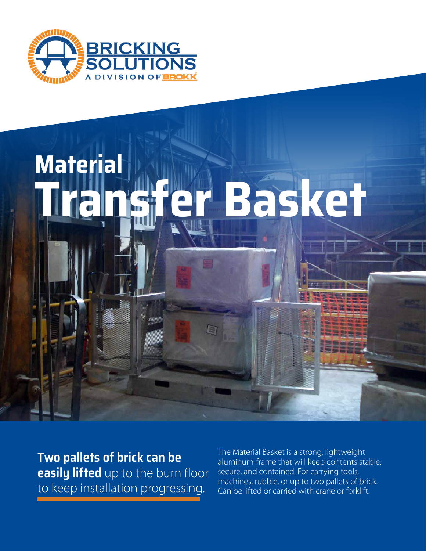

# **Material Transfer Basket**

E

**Two pallets of brick can be easily lifted** up to the burn floor to keep installation progressing.

The Material Basket is a strong, lightweight aluminum-frame that will keep contents stable, secure, and contained. For carrying tools, machines, rubble, or up to two pallets of brick. Can be lifted or carried with crane or forklift.